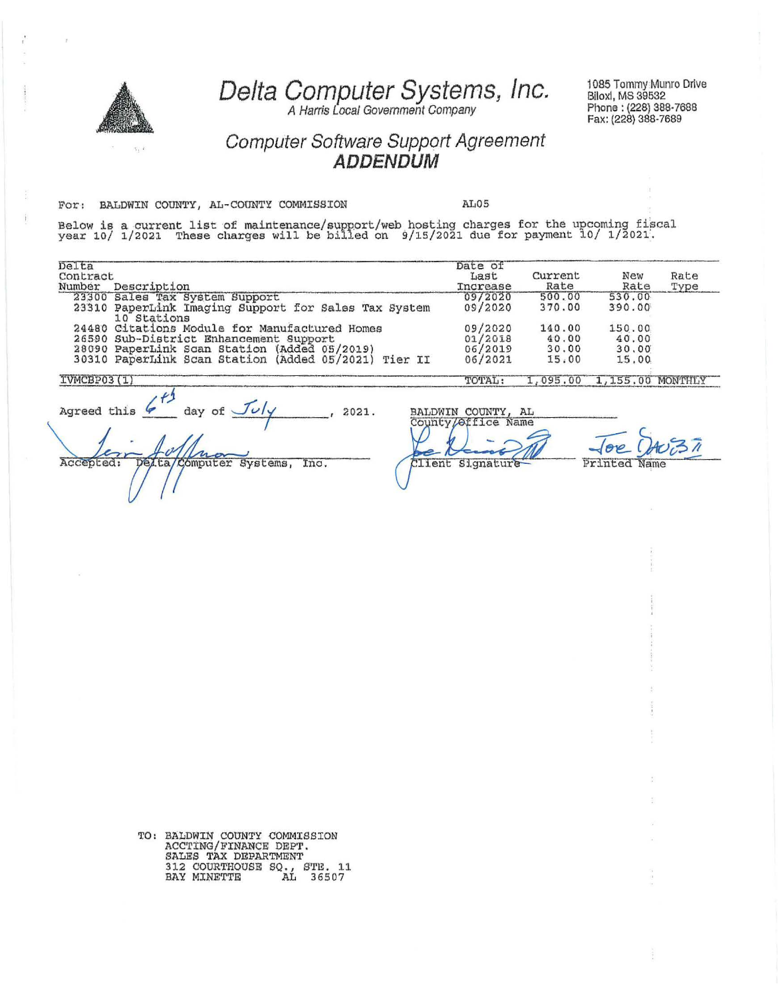

Delta Computer Systems, Inc.

1085 Tommy Munro Drive **Biloxi, MS 39532** Phone: (228) 388-7688 Fax: (228) 388-7689

## **Computer Software Support Agreement ADDENDUM**

For: BALDWIN COUNTY, AL-COUNTY COMMISSION

AL<sub>05</sub>

Below is a current list of maintenance/support/web hosting charges for the upcoming fiscal<br>year 10/ 1/2021 These charges will be billed on 9/15/2021 due for payment 10/ 1/2021.

| Number<br>Description<br>Increase<br>23300 Sales Tax System Support<br>09/2020<br>09/2020<br>23310 PaperLink Imaging Support for Sales Tax System<br>10 Stations | Rate<br>500.00<br>370.00 | Rate<br>530.00   | Type |
|------------------------------------------------------------------------------------------------------------------------------------------------------------------|--------------------------|------------------|------|
|                                                                                                                                                                  |                          |                  |      |
|                                                                                                                                                                  |                          |                  |      |
|                                                                                                                                                                  |                          | 390.00           |      |
| 09/2020<br>24480 Citations Module for Manufactured Homes                                                                                                         | 140.00                   | 150.00           |      |
| 01/2018<br>26590 Sub-District Enhancement Support                                                                                                                | 40.00                    | 40.00            |      |
| 06/2019<br>28090 PaperLink Scan Station (Added 05/2019)                                                                                                          | 30.00                    | 30,00            |      |
| 30310 PaperLink Scan Station (Added 05/2021) Tier II<br>06/2021                                                                                                  | 15.00                    | 15,00            |      |
| IVMCBP03(1)<br>TOTAL:                                                                                                                                            | 1,095.00                 | 1,155.00 MONTHLY |      |

 $\overline{\nu}$  $\overline{\mathcal{U}}$ Defta/Computer Systems, Accepted: Inc.

County/office Name  $\int$ ore e z, Client Signature

 $3\bar{1}$ Printed Name

TO: BALDWIN COUNTY COMMISSION<br>ACCTING/FINANCE DEPT.<br>SALES TAX DEPARTMENT 312 COURTHOUSE SQ., STE. 11<br>BAY MINETTE AL 36507